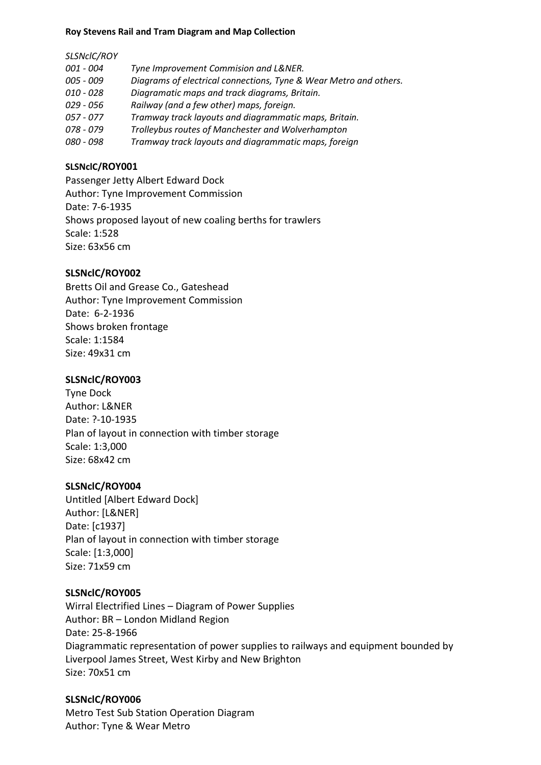#### **Roy Stevens Rail and Tram Diagram and Map Collection**

#### *SLSNclC/ROY*

| <i>001 - 004</i> | Tyne Improvement Commision and L&NER.                             |
|------------------|-------------------------------------------------------------------|
| 005 - 009        | Diagrams of electrical connections, Tyne & Wear Metro and others. |
| $010 - 028$      | Diagramatic maps and track diagrams, Britain.                     |
| 029 - 056        | Railway (and a few other) maps, foreign.                          |
| $057 - 077$      | Tramway track layouts and diagrammatic maps, Britain.             |
| 078 - 079        | Trolleybus routes of Manchester and Wolverhampton                 |
| 080 - 098        | Tramway track layouts and diagrammatic maps, foreign              |
|                  |                                                                   |

# **SLSNclC/ROY001**

Passenger Jetty Albert Edward Dock Author: Tyne Improvement Commission Date: 7-6-1935 Shows proposed layout of new coaling berths for trawlers Scale: 1:528 Size: 63x56 cm

# **SLSNclC/ROY002**

Bretts Oil and Grease Co., Gateshead Author: Tyne Improvement Commission Date: 6-2-1936 Shows broken frontage Scale: 1:1584 Size: 49x31 cm

# **SLSNclC/ROY003**

Tyne Dock Author: L&NER Date: ?-10-1935 Plan of layout in connection with timber storage Scale: 1:3,000 Size: 68x42 cm

### **SLSNclC/ROY004**

Untitled [Albert Edward Dock] Author: [L&NER] Date: [c1937] Plan of layout in connection with timber storage Scale: [1:3,000] Size: 71x59 cm

### **SLSNclC/ROY005**

Wirral Electrified Lines – Diagram of Power Supplies Author: BR – London Midland Region Date: 25-8-1966 Diagrammatic representation of power supplies to railways and equipment bounded by Liverpool James Street, West Kirby and New Brighton Size: 70x51 cm

# **SLSNclC/ROY006**

Metro Test Sub Station Operation Diagram Author: Tyne & Wear Metro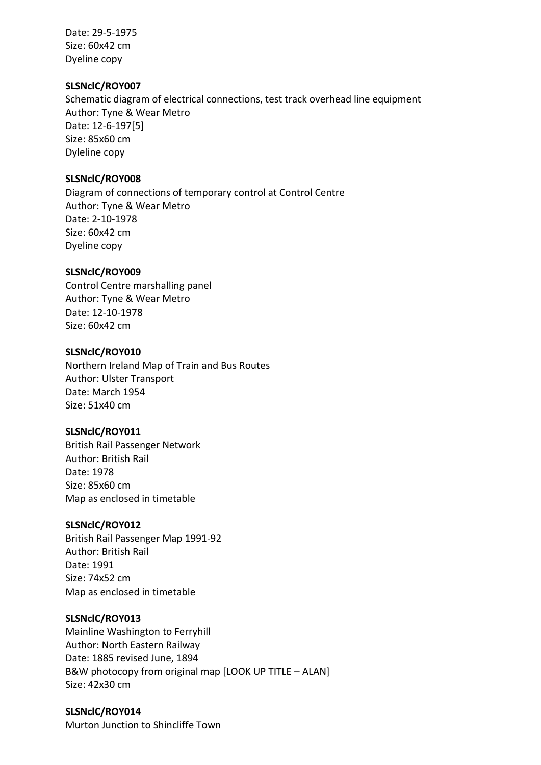Date: 29-5-1975 Size: 60x42 cm Dyeline copy

### **SLSNclC/ROY007**

Schematic diagram of electrical connections, test track overhead line equipment Author: Tyne & Wear Metro Date: 12-6-197[5] Size: 85x60 cm Dyleline copy

# **SLSNclC/ROY008**

Diagram of connections of temporary control at Control Centre Author: Tyne & Wear Metro Date: 2-10-1978 Size: 60x42 cm Dyeline copy

# **SLSNclC/ROY009**

Control Centre marshalling panel Author: Tyne & Wear Metro Date: 12-10-1978 Size: 60x42 cm

# **SLSNclC/ROY010**

Northern Ireland Map of Train and Bus Routes Author: Ulster Transport Date: March 1954 Size: 51x40 cm

### **SLSNclC/ROY011**

British Rail Passenger Network Author: British Rail Date: 1978 Size: 85x60 cm Map as enclosed in timetable

# **SLSNclC/ROY012**

British Rail Passenger Map 1991-92 Author: British Rail Date: 1991 Size: 74x52 cm Map as enclosed in timetable

### **SLSNclC/ROY013**

Mainline Washington to Ferryhill Author: North Eastern Railway Date: 1885 revised June, 1894 B&W photocopy from original map [LOOK UP TITLE – ALAN] Size: 42x30 cm

### **SLSNclC/ROY014**

Murton Junction to Shincliffe Town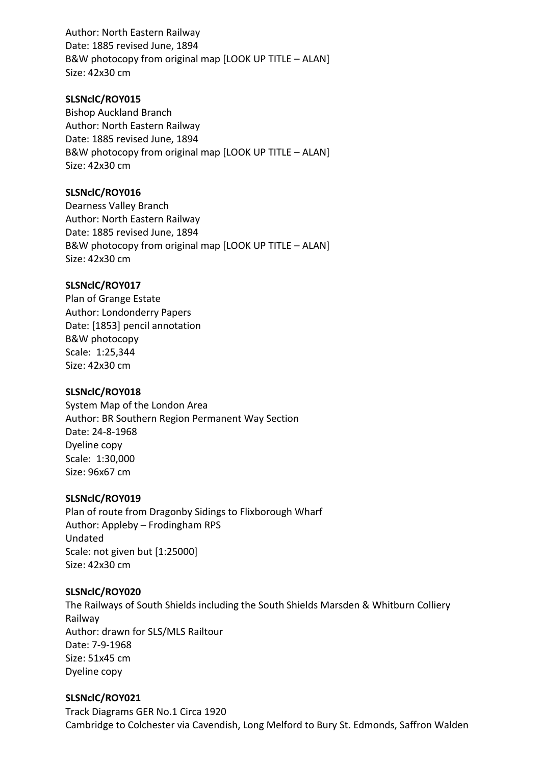Author: North Eastern Railway Date: 1885 revised June, 1894 B&W photocopy from original map [LOOK UP TITLE – ALAN] Size: 42x30 cm

## **SLSNclC/ROY015**

Bishop Auckland Branch Author: North Eastern Railway Date: 1885 revised June, 1894 B&W photocopy from original map [LOOK UP TITLE – ALAN] Size: 42x30 cm

# **SLSNclC/ROY016**

Dearness Valley Branch Author: North Eastern Railway Date: 1885 revised June, 1894 B&W photocopy from original map [LOOK UP TITLE – ALAN] Size: 42x30 cm

# **SLSNclC/ROY017**

Plan of Grange Estate Author: Londonderry Papers Date: [1853] pencil annotation B&W photocopy Scale: 1:25,344 Size: 42x30 cm

### **SLSNclC/ROY018**

System Map of the London Area Author: BR Southern Region Permanent Way Section Date: 24-8-1968 Dyeline copy Scale: 1:30,000 Size: 96x67 cm

### **SLSNclC/ROY019**

Plan of route from Dragonby Sidings to Flixborough Wharf Author: Appleby – Frodingham RPS Undated Scale: not given but [1:25000] Size: 42x30 cm

### **SLSNclC/ROY020**

The Railways of South Shields including the South Shields Marsden & Whitburn Colliery Railway Author: drawn for SLS/MLS Railtour Date: 7-9-1968 Size: 51x45 cm Dyeline copy

### **SLSNclC/ROY021**

Track Diagrams GER No.1 Circa 1920 Cambridge to Colchester via Cavendish, Long Melford to Bury St. Edmonds, Saffron Walden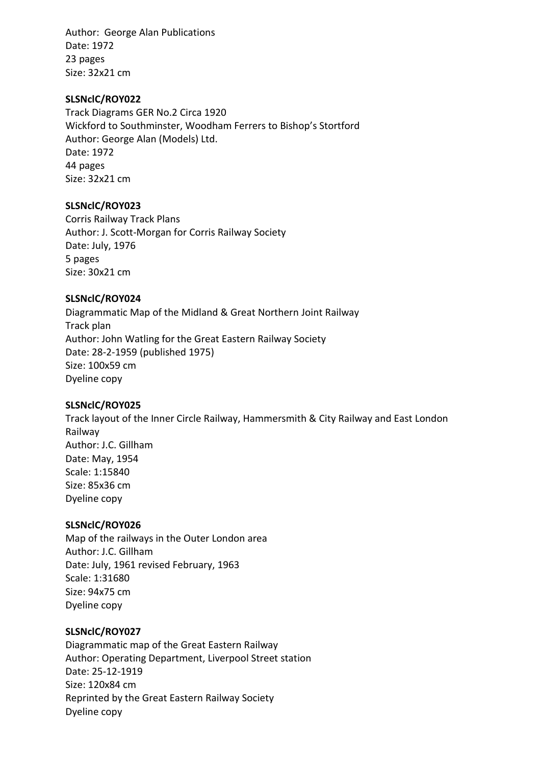Author: George Alan Publications Date: 1972 23 pages Size: 32x21 cm

### **SLSNclC/ROY022**

Track Diagrams GER No.2 Circa 1920 Wickford to Southminster, Woodham Ferrers to Bishop's Stortford Author: George Alan (Models) Ltd. Date: 1972 44 pages Size: 32x21 cm

#### **SLSNclC/ROY023**

Corris Railway Track Plans Author: J. Scott-Morgan for Corris Railway Society Date: July, 1976 5 pages Size: 30x21 cm

#### **SLSNclC/ROY024**

Diagrammatic Map of the Midland & Great Northern Joint Railway Track plan Author: John Watling for the Great Eastern Railway Society Date: 28-2-1959 (published 1975) Size: 100x59 cm Dyeline copy

#### **SLSNclC/ROY025**

Track layout of the Inner Circle Railway, Hammersmith & City Railway and East London Railway Author: J.C. Gillham Date: May, 1954 Scale: 1:15840 Size: 85x36 cm Dyeline copy

#### **SLSNclC/ROY026**

Map of the railways in the Outer London area Author: J.C. Gillham Date: July, 1961 revised February, 1963 Scale: 1:31680 Size: 94x75 cm Dyeline copy

### **SLSNclC/ROY027**

Diagrammatic map of the Great Eastern Railway Author: Operating Department, Liverpool Street station Date: 25-12-1919 Size: 120x84 cm Reprinted by the Great Eastern Railway Society Dyeline copy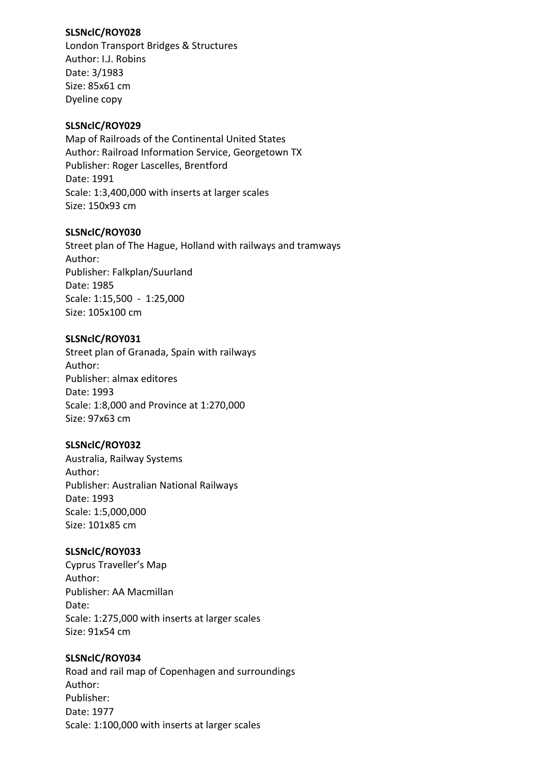# **SLSNclC/ROY028**

London Transport Bridges & Structures Author: I.J. Robins Date: 3/1983 Size: 85x61 cm Dyeline copy

# **SLSNclC/ROY029**

Map of Railroads of the Continental United States Author: Railroad Information Service, Georgetown TX Publisher: Roger Lascelles, Brentford Date: 1991 Scale: 1:3,400,000 with inserts at larger scales Size: 150x93 cm

# **SLSNclC/ROY030**

Street plan of The Hague, Holland with railways and tramways Author: Publisher: Falkplan/Suurland Date: 1985 Scale: 1:15,500 - 1:25,000 Size: 105x100 cm

# **SLSNclC/ROY031**

Street plan of Granada, Spain with railways Author: Publisher: almax editores Date: 1993 Scale: 1:8,000 and Province at 1:270,000 Size: 97x63 cm

# **SLSNclC/ROY032**

Australia, Railway Systems Author: Publisher: Australian National Railways Date: 1993 Scale: 1:5,000,000 Size: 101x85 cm

### **SLSNclC/ROY033**

Cyprus Traveller's Map Author: Publisher: AA Macmillan Date: Scale: 1:275,000 with inserts at larger scales Size: 91x54 cm

### **SLSNclC/ROY034**

Road and rail map of Copenhagen and surroundings Author: Publisher: Date: 1977 Scale: 1:100,000 with inserts at larger scales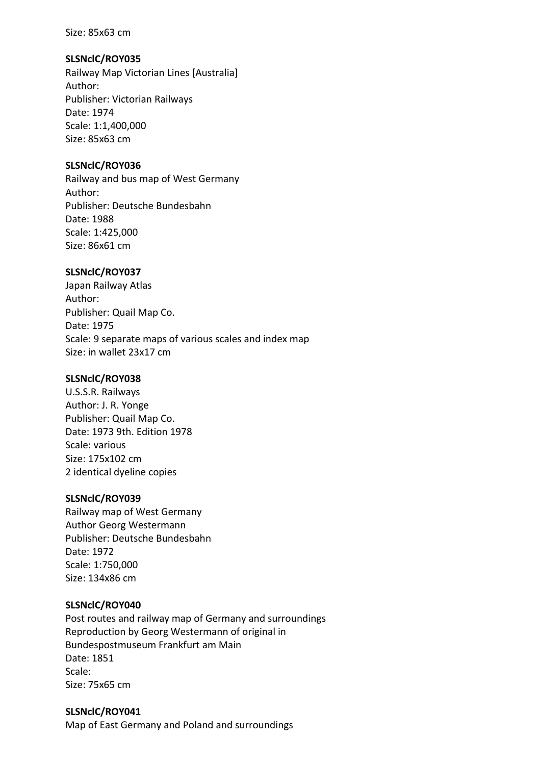#### Size: 85x63 cm

## **SLSNclC/ROY035**

Railway Map Victorian Lines [Australia] Author: Publisher: Victorian Railways Date: 1974 Scale: 1:1,400,000 Size: 85x63 cm

# **SLSNclC/ROY036**

Railway and bus map of West Germany Author: Publisher: Deutsche Bundesbahn Date: 1988 Scale: 1:425,000 Size: 86x61 cm

# **SLSNclC/ROY037**

Japan Railway Atlas Author: Publisher: Quail Map Co. Date: 1975 Scale: 9 separate maps of various scales and index map Size: in wallet 23x17 cm

## **SLSNclC/ROY038**

U.S.S.R. Railways Author: J. R. Yonge Publisher: Quail Map Co. Date: 1973 9th. Edition 1978 Scale: various Size: 175x102 cm 2 identical dyeline copies

### **SLSNclC/ROY039**

Railway map of West Germany Author Georg Westermann Publisher: Deutsche Bundesbahn Date: 1972 Scale: 1:750,000 Size: 134x86 cm

### **SLSNclC/ROY040**

Post routes and railway map of Germany and surroundings Reproduction by Georg Westermann of original in Bundespostmuseum Frankfurt am Main Date: 1851 Scale: Size: 75x65 cm

# **SLSNclC/ROY041**

Map of East Germany and Poland and surroundings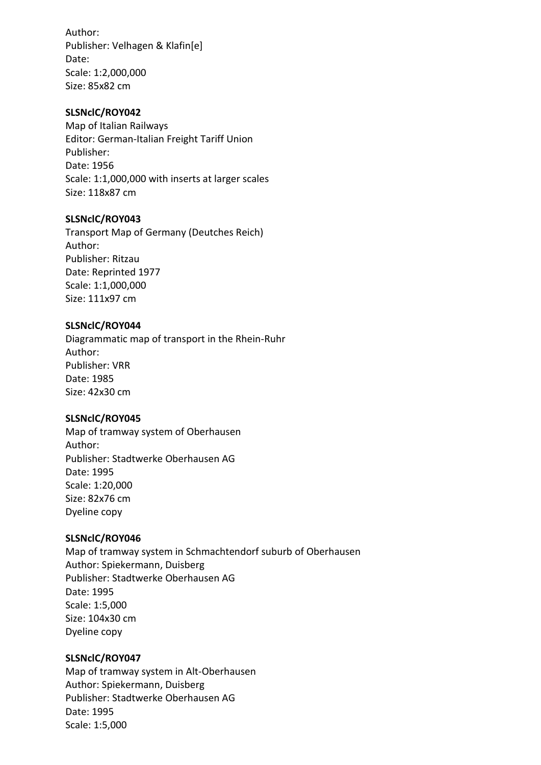Author: Publisher: Velhagen & Klafin[e] Date: Scale: 1:2,000,000 Size: 85x82 cm

### **SLSNclC/ROY042**

Map of Italian Railways Editor: German-Italian Freight Tariff Union Publisher: Date: 1956 Scale: 1:1,000,000 with inserts at larger scales Size: 118x87 cm

### **SLSNclC/ROY043**

Transport Map of Germany (Deutches Reich) Author: Publisher: Ritzau Date: Reprinted 1977 Scale: 1:1,000,000 Size: 111x97 cm

#### **SLSNclC/ROY044**

Diagrammatic map of transport in the Rhein-Ruhr Author: Publisher: VRR Date: 1985 Size: 42x30 cm

### **SLSNclC/ROY045**

Map of tramway system of Oberhausen Author: Publisher: Stadtwerke Oberhausen AG Date: 1995 Scale: 1:20,000 Size: 82x76 cm Dyeline copy

### **SLSNclC/ROY046**

Map of tramway system in Schmachtendorf suburb of Oberhausen Author: Spiekermann, Duisberg Publisher: Stadtwerke Oberhausen AG Date: 1995 Scale: 1:5,000 Size: 104x30 cm Dyeline copy

#### **SLSNclC/ROY047**

Map of tramway system in Alt-Oberhausen Author: Spiekermann, Duisberg Publisher: Stadtwerke Oberhausen AG Date: 1995 Scale: 1:5,000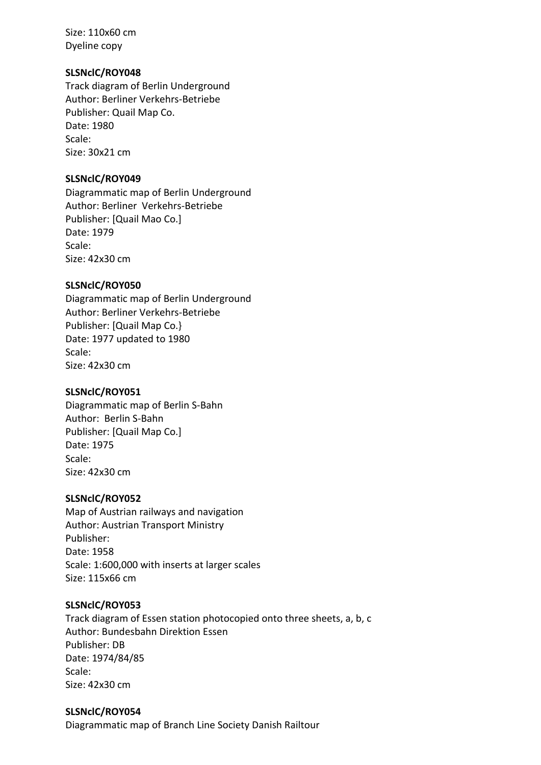Size: 110x60 cm Dyeline copy

# **SLSNclC/ROY048**

Track diagram of Berlin Underground Author: Berliner Verkehrs-Betriebe Publisher: Quail Map Co. Date: 1980 Scale: Size: 30x21 cm

## **SLSNclC/ROY049**

Diagrammatic map of Berlin Underground Author: Berliner Verkehrs-Betriebe Publisher: [Quail Mao Co.] Date: 1979 Scale: Size: 42x30 cm

# **SLSNclC/ROY050**

Diagrammatic map of Berlin Underground Author: Berliner Verkehrs-Betriebe Publisher: [Quail Map Co.} Date: 1977 updated to 1980 Scale: Size: 42x30 cm

### **SLSNclC/ROY051**

Diagrammatic map of Berlin S-Bahn Author: Berlin S-Bahn Publisher: [Quail Map Co.] Date: 1975 Scale: Size: 42x30 cm

### **SLSNclC/ROY052**

Map of Austrian railways and navigation Author: Austrian Transport Ministry Publisher: Date: 1958 Scale: 1:600,000 with inserts at larger scales Size: 115x66 cm

### **SLSNclC/ROY053**

Track diagram of Essen station photocopied onto three sheets, a, b, c Author: Bundesbahn Direktion Essen Publisher: DB Date: 1974/84/85 Scale: Size: 42x30 cm

### **SLSNclC/ROY054**

Diagrammatic map of Branch Line Society Danish Railtour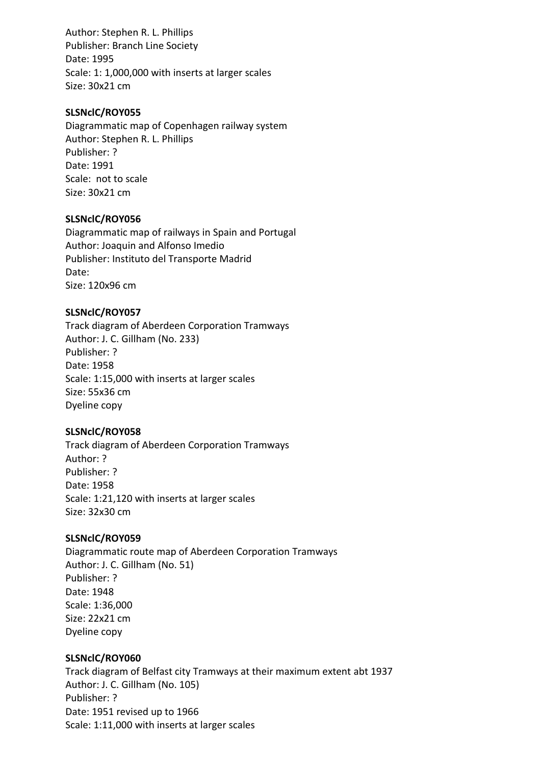Author: Stephen R. L. Phillips Publisher: Branch Line Society Date: 1995 Scale: 1: 1,000,000 with inserts at larger scales Size: 30x21 cm

## **SLSNclC/ROY055**

Diagrammatic map of Copenhagen railway system Author: Stephen R. L. Phillips Publisher: ? Date: 1991 Scale: not to scale Size: 30x21 cm

# **SLSNclC/ROY056**

Diagrammatic map of railways in Spain and Portugal Author: Joaquin and Alfonso Imedio Publisher: Instituto del Transporte Madrid Date: Size: 120x96 cm

# **SLSNclC/ROY057**

Track diagram of Aberdeen Corporation Tramways Author: J. C. Gillham (No. 233) Publisher: ? Date: 1958 Scale: 1:15,000 with inserts at larger scales Size: 55x36 cm Dyeline copy

### **SLSNclC/ROY058**

Track diagram of Aberdeen Corporation Tramways Author: ? Publisher: ? Date: 1958 Scale: 1:21,120 with inserts at larger scales Size: 32x30 cm

### **SLSNclC/ROY059**

Diagrammatic route map of Aberdeen Corporation Tramways Author: J. C. Gillham (No. 51) Publisher: ? Date: 1948 Scale: 1:36,000 Size: 22x21 cm Dyeline copy

### **SLSNclC/ROY060**

Track diagram of Belfast city Tramways at their maximum extent abt 1937 Author: J. C. Gillham (No. 105) Publisher: ? Date: 1951 revised up to 1966 Scale: 1:11,000 with inserts at larger scales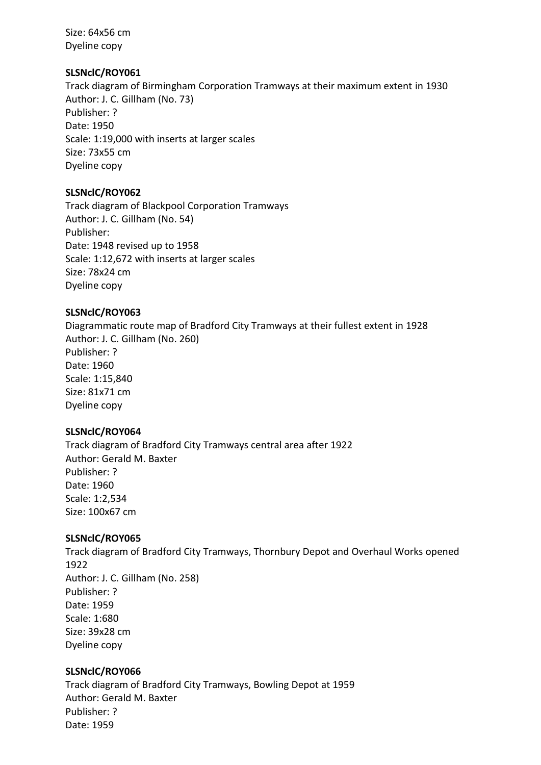Size: 64x56 cm Dyeline copy

# **SLSNclC/ROY061**

Track diagram of Birmingham Corporation Tramways at their maximum extent in 1930 Author: J. C. Gillham (No. 73) Publisher: ? Date: 1950 Scale: 1:19,000 with inserts at larger scales Size: 73x55 cm Dyeline copy

# **SLSNclC/ROY062**

Track diagram of Blackpool Corporation Tramways Author: J. C. Gillham (No. 54) Publisher: Date: 1948 revised up to 1958 Scale: 1:12,672 with inserts at larger scales Size: 78x24 cm Dyeline copy

# **SLSNclC/ROY063**

Diagrammatic route map of Bradford City Tramways at their fullest extent in 1928 Author: J. C. Gillham (No. 260) Publisher: ? Date: 1960 Scale: 1:15,840 Size: 81x71 cm Dyeline copy

# **SLSNclC/ROY064**

Track diagram of Bradford City Tramways central area after 1922 Author: Gerald M. Baxter Publisher: ? Date: 1960 Scale: 1:2,534 Size: 100x67 cm

# **SLSNclC/ROY065**

Track diagram of Bradford City Tramways, Thornbury Depot and Overhaul Works opened 1922 Author: J. C. Gillham (No. 258) Publisher: ? Date: 1959 Scale: 1:680 Size: 39x28 cm Dyeline copy

# **SLSNclC/ROY066**

Track diagram of Bradford City Tramways, Bowling Depot at 1959 Author: Gerald M. Baxter Publisher: ? Date: 1959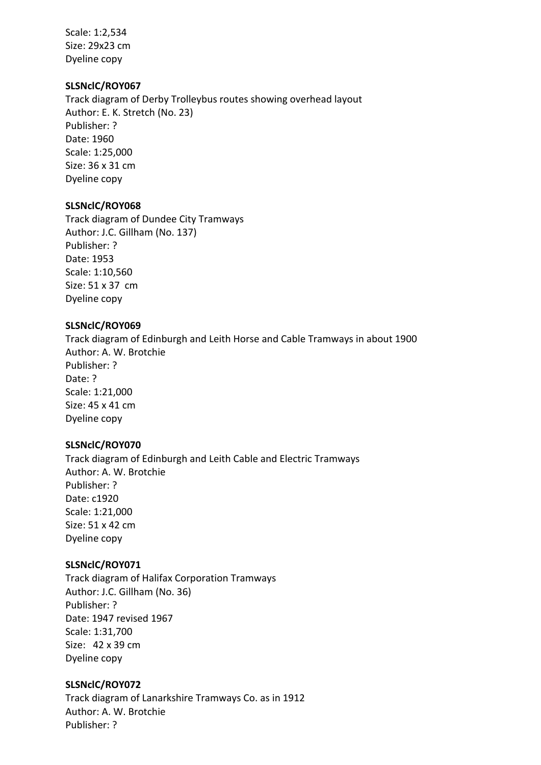Scale: 1:2,534 Size: 29x23 cm Dyeline copy

### **SLSNclC/ROY067**

Track diagram of Derby Trolleybus routes showing overhead layout Author: E. K. Stretch (No. 23) Publisher: ? Date: 1960 Scale: 1:25,000 Size: 36 x 31 cm Dyeline copy

### **SLSNclC/ROY068**

Track diagram of Dundee City Tramways Author: J.C. Gillham (No. 137) Publisher: ? Date: 1953 Scale: 1:10,560 Size: 51 x 37 cm Dyeline copy

#### **SLSNclC/ROY069**

Track diagram of Edinburgh and Leith Horse and Cable Tramways in about 1900 Author: A. W. Brotchie Publisher: ? Date: ? Scale: 1:21,000 Size: 45 x 41 cm Dyeline copy

### **SLSNclC/ROY070**

Track diagram of Edinburgh and Leith Cable and Electric Tramways Author: A. W. Brotchie Publisher: ? Date: c1920 Scale: 1:21,000 Size: 51 x 42 cm Dyeline copy

### **SLSNclC/ROY071**

Track diagram of Halifax Corporation Tramways Author: J.C. Gillham (No. 36) Publisher: ? Date: 1947 revised 1967 Scale: 1:31,700 Size: 42 x 39 cm Dyeline copy

### **SLSNclC/ROY072**

Track diagram of Lanarkshire Tramways Co. as in 1912 Author: A. W. Brotchie Publisher: ?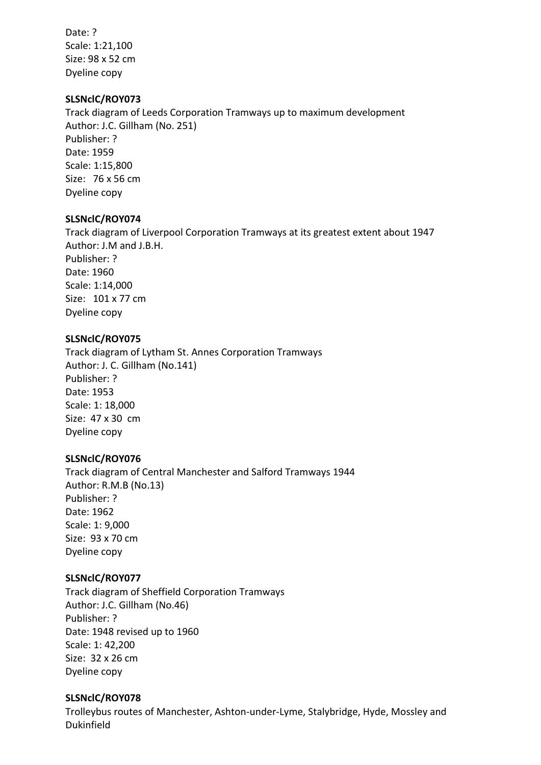Date: ? Scale: 1:21,100 Size: 98 x 52 cm Dyeline copy

### **SLSNclC/ROY073**

Track diagram of Leeds Corporation Tramways up to maximum development Author: J.C. Gillham (No. 251) Publisher: ? Date: 1959 Scale: 1:15,800 Size: 76 x 56 cm Dyeline copy

#### **SLSNclC/ROY074**

Track diagram of Liverpool Corporation Tramways at its greatest extent about 1947 Author: J.M and J.B.H. Publisher: ? Date: 1960 Scale: 1:14,000 Size: 101 x 77 cm Dyeline copy

#### **SLSNclC/ROY075**

Track diagram of Lytham St. Annes Corporation Tramways Author: J. C. Gillham (No.141) Publisher: ? Date: 1953 Scale: 1: 18,000 Size: 47 x 30 cm Dyeline copy

#### **SLSNclC/ROY076**

Track diagram of Central Manchester and Salford Tramways 1944 Author: R.M.B (No.13) Publisher: ? Date: 1962 Scale: 1: 9,000 Size: 93 x 70 cm Dyeline copy

#### **SLSNclC/ROY077**

Track diagram of Sheffield Corporation Tramways Author: J.C. Gillham (No.46) Publisher: ? Date: 1948 revised up to 1960 Scale: 1: 42,200 Size: 32 x 26 cm Dyeline copy

#### **SLSNclC/ROY078**

Trolleybus routes of Manchester, Ashton-under-Lyme, Stalybridge, Hyde, Mossley and Dukinfield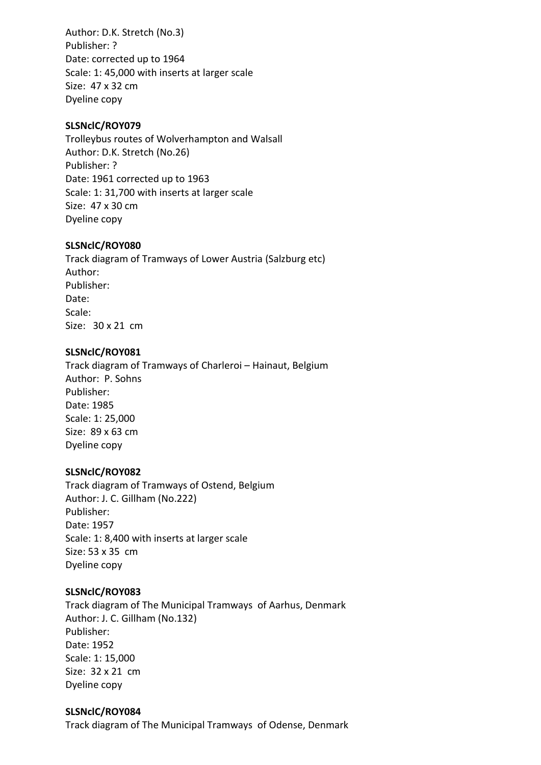Author: D.K. Stretch (No.3) Publisher: ? Date: corrected up to 1964 Scale: 1: 45,000 with inserts at larger scale Size: 47 x 32 cm Dyeline copy

## **SLSNclC/ROY079**

Trolleybus routes of Wolverhampton and Walsall Author: D.K. Stretch (No.26) Publisher: ? Date: 1961 corrected up to 1963 Scale: 1: 31,700 with inserts at larger scale Size: 47 x 30 cm Dyeline copy

# **SLSNclC/ROY080**

Track diagram of Tramways of Lower Austria (Salzburg etc) Author: Publisher: Date: Scale: Size: 30 x 21 cm

# **SLSNclC/ROY081**

Track diagram of Tramways of Charleroi – Hainaut, Belgium Author: P. Sohns Publisher: Date: 1985 Scale: 1: 25,000 Size: 89 x 63 cm Dyeline copy

### **SLSNclC/ROY082**

Track diagram of Tramways of Ostend, Belgium Author: J. C. Gillham (No.222) Publisher: Date: 1957 Scale: 1: 8,400 with inserts at larger scale Size: 53 x 35 cm Dyeline copy

### **SLSNclC/ROY083**

Track diagram of The Municipal Tramways of Aarhus, Denmark Author: J. C. Gillham (No.132) Publisher: Date: 1952 Scale: 1: 15,000 Size: 32 x 21 cm Dyeline copy

### **SLSNclC/ROY084**

Track diagram of The Municipal Tramways of Odense, Denmark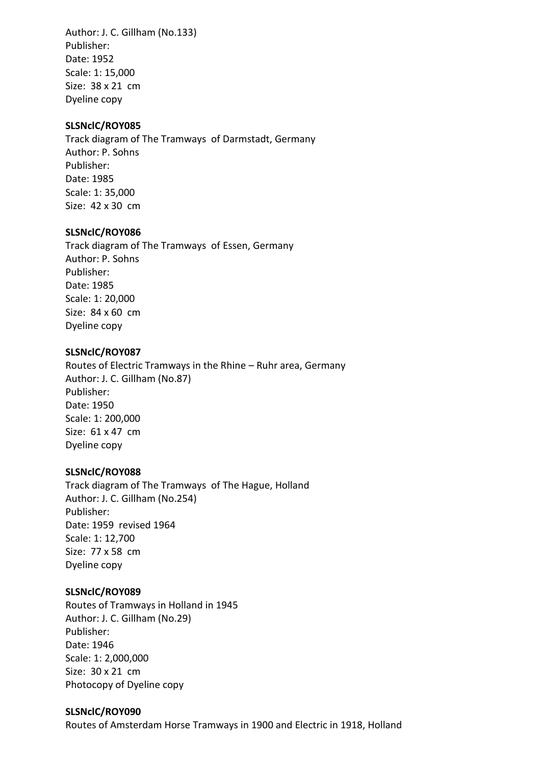Author: J. C. Gillham (No.133) Publisher: Date: 1952 Scale: 1: 15,000 Size: 38 x 21 cm Dyeline copy

### **SLSNclC/ROY085**

Track diagram of The Tramways of Darmstadt, Germany Author: P. Sohns Publisher: Date: 1985 Scale: 1: 35,000 Size: 42 x 30 cm

#### **SLSNclC/ROY086**

Track diagram of The Tramways of Essen, Germany Author: P. Sohns Publisher: Date: 1985 Scale: 1: 20,000 Size: 84 x 60 cm Dyeline copy

#### **SLSNclC/ROY087**

Routes of Electric Tramways in the Rhine – Ruhr area, Germany Author: J. C. Gillham (No.87) Publisher: Date: 1950 Scale: 1: 200,000 Size: 61 x 47 cm Dyeline copy

#### **SLSNclC/ROY088**

Track diagram of The Tramways of The Hague, Holland Author: J. C. Gillham (No.254) Publisher: Date: 1959 revised 1964 Scale: 1: 12,700 Size: 77 x 58 cm Dyeline copy

### **SLSNclC/ROY089**

Routes of Tramways in Holland in 1945 Author: J. C. Gillham (No.29) Publisher: Date: 1946 Scale: 1: 2,000,000 Size: 30 x 21 cm Photocopy of Dyeline copy

### **SLSNclC/ROY090**

Routes of Amsterdam Horse Tramways in 1900 and Electric in 1918, Holland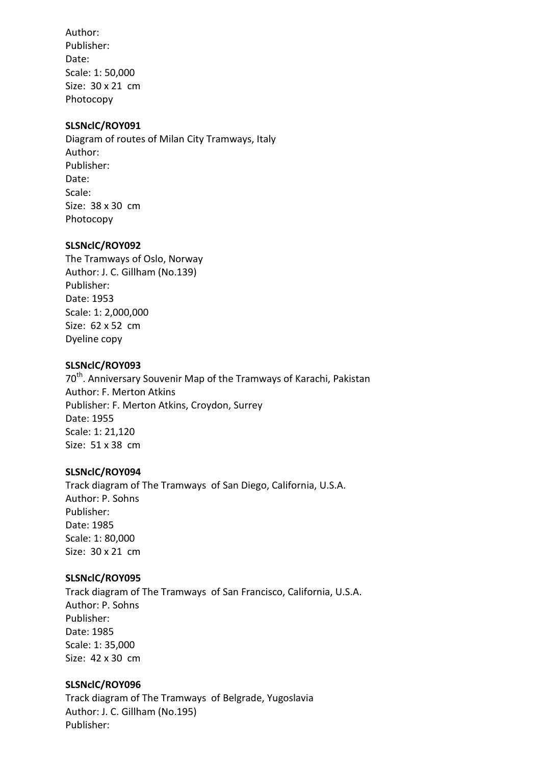Author: Publisher: Date: Scale: 1: 50,000 Size: 30 x 21 cm Photocopy

#### **SLSNclC/ROY091**

Diagram of routes of Milan City Tramways, Italy Author: Publisher: Date: Scale: Size: 38 x 30 cm Photocopy

#### **SLSNclC/ROY092**

The Tramways of Oslo, Norway Author: J. C. Gillham (No.139) Publisher: Date: 1953 Scale: 1: 2,000,000 Size: 62 x 52 cm Dyeline copy

#### **SLSNclC/ROY093**

70<sup>th</sup>. Anniversary Souvenir Map of the Tramways of Karachi, Pakistan Author: F. Merton Atkins Publisher: F. Merton Atkins, Croydon, Surrey Date: 1955 Scale: 1: 21,120 Size: 51 x 38 cm

#### **SLSNclC/ROY094**

Track diagram of The Tramways of San Diego, California, U.S.A. Author: P. Sohns Publisher: Date: 1985 Scale: 1: 80,000 Size: 30 x 21 cm

#### **SLSNclC/ROY095**

Track diagram of The Tramways of San Francisco, California, U.S.A. Author: P. Sohns Publisher: Date: 1985 Scale: 1: 35,000 Size: 42 x 30 cm

#### **SLSNclC/ROY096**

Track diagram of The Tramways of Belgrade, Yugoslavia Author: J. C. Gillham (No.195) Publisher: